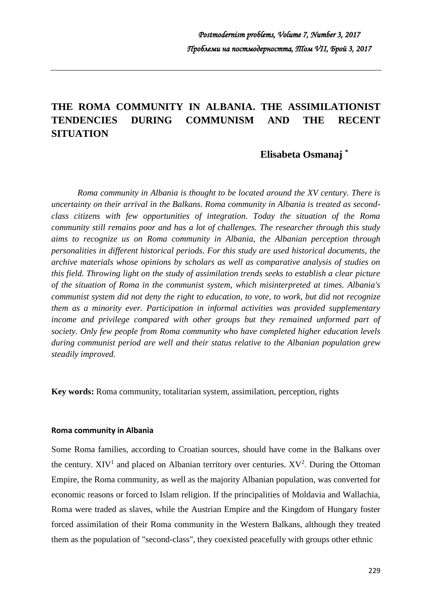# **THE ROMA COMMUNITY IN ALBANIA. THE ASSIMILATIONIST TENDENCIES DURING COMMUNISM AND THE RECENT SITUATION**

## **Elisabeta Osmanaj \***

*Roma community in Albania is thought to be located around the XV century. There is uncertainty on their arrival in the Balkans. Roma community in Albania is treated as secondclass citizens with few opportunities of integration. Today the situation of the Roma community still remains poor and has a lot of challenges. The researcher through this study aims to recognize us on Roma community in Albania, the Albanian perception through personalities in different historical periods. For this study are used historical documents, the archive materials whose opinions by scholars as well as comparative analysis of studies on this field. Throwing light on the study of assimilation trends seeks to establish a clear picture of the situation of Roma in the communist system, which misinterpreted at times. Albania's communist system did not deny the right to education, to vote, to work, but did not recognize them as a minority ever. Participation in informal activities was provided supplementary*  income and privilege compared with other groups but they remained unformed part of *society. Only few people from Roma community who have completed higher education levels during communist period are well and their status relative to the Albanian population grew steadily improved.*

**Key words:** Roma community, totalitarian system, assimilation, perception, rights

#### **Roma community in Albania**

Some Roma families, according to Croatian sources, should have come in the Balkans over the century.  $XIV<sup>1</sup>$  and placed on Albanian territory over centuries.  $XV<sup>2</sup>$ . During the Ottoman Empire, the Roma community, as well as the majority Albanian population, was converted for economic reasons or forced to Islam religion. If the principalities of Moldavia and Wallachia, Roma were traded as slaves, while the Austrian Empire and the Kingdom of Hungary foster forced assimilation of their Roma community in the Western Balkans, although they treated them as the population of "second-class", they coexisted peacefully with groups other ethnic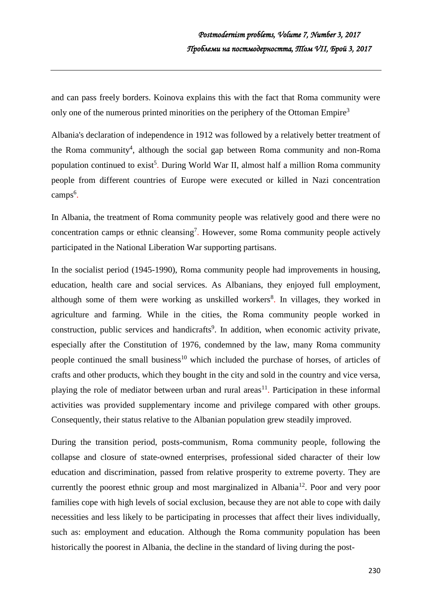and can pass freely borders. Koinova explains this with the fact that Roma community were only one of the numerous printed minorities on the periphery of the Ottoman Empire<sup>3</sup>

Albania's declaration of independence in 1912 was followed by a relatively better treatment of the Roma community<sup>4</sup>, although the social gap between Roma community and non-Roma population continued to exist<sup>5</sup>. During World War II, almost half a million Roma community people from different countries of Europe were executed or killed in Nazi concentration camps<sup>6</sup>.

In Albania, the treatment of Roma community people was relatively good and there were no concentration camps or ethnic cleansing<sup>7</sup>. However, some Roma community people actively participated in the National Liberation War supporting partisans.

In the socialist period (1945-1990), Roma community people had improvements in housing, education, health care and social services. As Albanians, they enjoyed full employment, although some of them were working as unskilled workers<sup>8</sup>. In villages, they worked in agriculture and farming. While in the cities, the Roma community people worked in construction, public services and handicrafts<sup>9</sup>. In addition, when economic activity private, especially after the Constitution of 1976, condemned by the law, many Roma community people continued the small business<sup>10</sup> which included the purchase of horses, of articles of crafts and other products, which they bought in the city and sold in the country and vice versa, playing the role of mediator between urban and rural areas<sup>11</sup>. Participation in these informal activities was provided supplementary income and privilege compared with other groups. Consequently, their status relative to the Albanian population grew steadily improved.

During the transition period, posts-communism, Roma community people, following the collapse and closure of state-owned enterprises, professional sided character of their low education and discrimination, passed from relative prosperity to extreme poverty. They are currently the poorest ethnic group and most marginalized in Albania<sup>12</sup>. Poor and very poor families cope with high levels of social exclusion, because they are not able to cope with daily necessities and less likely to be participating in processes that affect their lives individually, such as: employment and education. Although the Roma community population has been historically the poorest in Albania, the decline in the standard of living during the post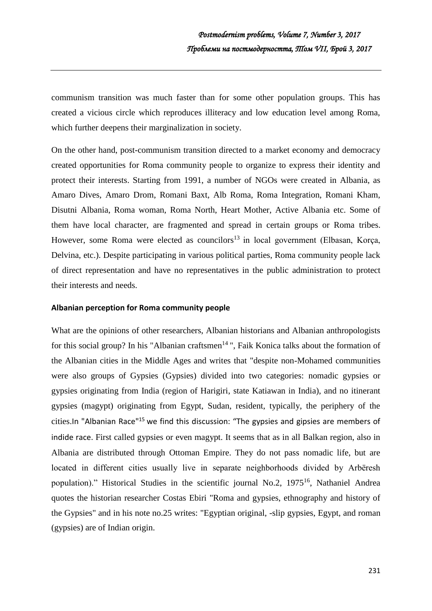communism transition was much faster than for some other population groups. This has created a vicious circle which reproduces illiteracy and low education level among Roma, which further deepens their marginalization in society.

On the other hand, post-communism transition directed to a market economy and democracy created opportunities for Roma community people to organize to express their identity and protect their interests. Starting from 1991, a number of NGOs were created in Albania, as Amaro Dives, Amaro Drom, Romani Baxt, Alb Roma, Roma Integration, Romani Kham, Disutni Albania, Roma woman, Roma North, Heart Mother, Active Albania etc. Some of them have local character, are fragmented and spread in certain groups or Roma tribes. However, some Roma were elected as councilors<sup>13</sup> in local government (Elbasan, Korça, Delvina, etc.). Despite participating in various political parties, Roma community people lack of direct representation and have no representatives in the public administration to protect their interests and needs.

#### **Albanian perception for Roma community people**

What are the opinions of other researchers, Albanian historians and Albanian anthropologists for this social group? In his "Albanian craftsmen<sup>14</sup>", Faik Konica talks about the formation of the Albanian cities in the Middle Ages and writes that "despite non-Mohamed communities were also groups of Gypsies (Gypsies) divided into two categories: nomadic gypsies or gypsies originating from India (region of Harigiri, state Katiawan in India), and no itinerant gypsies (magypt) originating from Egypt, Sudan, resident, typically, the periphery of the cities.In "Albanian Race"<sup>15</sup> we find this discussion: "The gypsies and gipsies are members of indide race. First called gypsies or even magypt. It seems that as in all Balkan region, also in Albania are distributed through Ottoman Empire. They do not pass nomadic life, but are located in different cities usually live in separate neighborhoods divided by Arbëresh population)." Historical Studies in the scientific journal No.2, 1975<sup>16</sup>, Nathaniel Andrea quotes the historian researcher Costas Ebiri "Roma and gypsies, ethnography and history of the Gypsies" and in his note no.25 writes: "Egyptian original, -slip gypsies, Egypt, and roman (gypsies) are of Indian origin.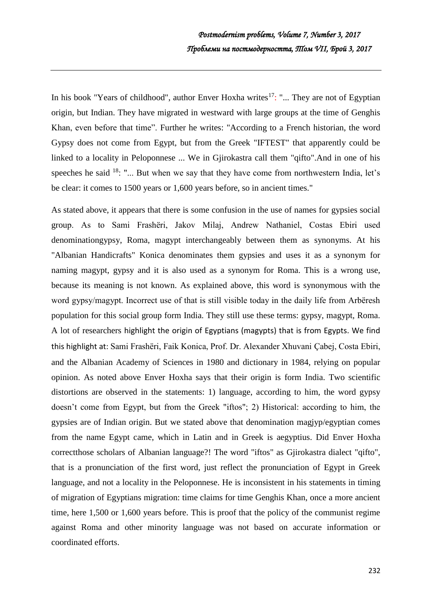In his book "Years of childhood", author Enver Hoxha writes $17$ : "... They are not of Egyptian origin, but Indian. They have migrated in westward with large groups at the time of Genghis Khan, even before that time". Further he writes: "According to a French historian, the word Gypsy does not come from Egypt, but from the Greek "IFTEST" that apparently could be linked to a locality in Peloponnese ... We in Gjirokastra call them "qifto".And in one of his speeches he said  $^{18}$ : "... But when we say that they have come from northwestern India, let's be clear: it comes to 1500 years or 1,600 years before, so in ancient times."

As stated above, it appears that there is some confusion in the use of names for gypsies social group. As to Sami Frashëri, Jakov Milaj, Andrew Nathaniel, Costas Ebiri used denominationgypsy, Roma, magypt interchangeably between them as synonyms. At his "Albanian Handicrafts" Konica denominates them gypsies and uses it as a synonym for naming magypt, gypsy and it is also used as a synonym for Roma. This is a wrong use, because its meaning is not known. As explained above, this word is synonymous with the word gypsy/magypt. Incorrect use of that is still visible today in the daily life from Arbëresh population for this social group form India. They still use these terms: gypsy, magypt, Roma. A lot of researchers highlight the origin of Egyptians (magypts) that is from Egypts. We find this highlight at: Sami Frashëri, Faik Konica, Prof. Dr. Alexander Xhuvani Çabej, Costa Ebiri, and the Albanian Academy of Sciences in 1980 and dictionary in 1984, relying on popular opinion. As noted above Enver Hoxha says that their origin is form India. Two scientific distortions are observed in the statements: 1) language, according to him, the word gypsy doesn't come from Egypt, but from the Greek "iftos"; 2) Historical: according to him, the gypsies are of Indian origin. But we stated above that denomination magjyp/egyptian comes from the name Egypt came, which in Latin and in Greek is aegyptius. Did Enver Hoxha correctthose scholars of Albanian language?! The word "iftos" as Gjirokastra dialect "qifto", that is a pronunciation of the first word, just reflect the pronunciation of Egypt in Greek language, and not a locality in the Peloponnese. He is inconsistent in his statements in timing of migration of Egyptians migration: time claims for time Genghis Khan, once a more ancient time, here 1,500 or 1,600 years before. This is proof that the policy of the communist regime against Roma and other minority language was not based on accurate information or coordinated efforts.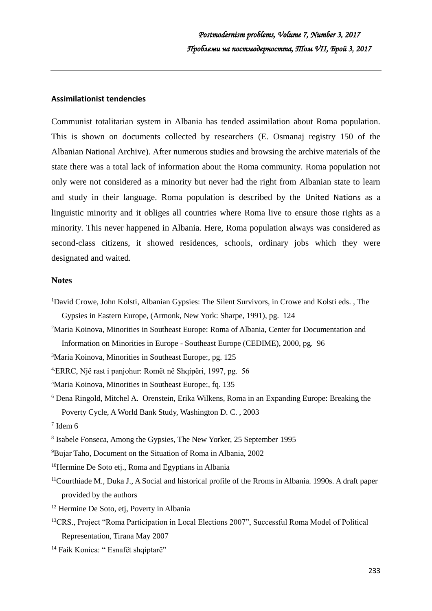### **Assimilationist tendencies**

Communist totalitarian system in Albania has tended assimilation about Roma population. This is shown on documents collected by researchers (E. Osmanaj registry 150 of the Albanian National Archive). After numerous studies and browsing the archive materials of the state there was a total lack of information about the Roma community. Roma population not only were not considered as a minority but never had the right from Albanian state to learn and study in their language. Roma population is described by the United Nations as a linguistic minority and it obliges all countries where Roma live to ensure those rights as a minority. This never happened in Albania. Here, Roma population always was considered as second-class citizens, it showed residences, schools, ordinary jobs which they were designated and waited.

#### **Notes**

- <sup>1</sup>David Crowe, John Kolsti, Albanian Gypsies: The Silent Survivors, in Crowe and Kolsti eds. , The Gypsies in Eastern Europe, (Armonk, New York: Sharpe, 1991), pg. 124
- <sup>2</sup>Maria Koinova, Minorities in Southeast Europe: Roma of Albania, Center for Documentation and Information on Minorities in Europe - Southeast Europe (CEDIME), 2000, pg. 96
- <sup>3</sup>Maria Koinova, Minorities in Southeast Europe:, pg. 125
- 4.ERRC, Një rast i panjohur: Romët në Shqipëri, 1997, pg. 56
- <sup>5</sup>Maria Koinova, Minorities in Southeast Europe:, fq. 135
- <sup>6</sup> Dena Ringold, Mitchel A. Orenstein, Erika Wilkens, Roma in an Expanding Europe: Breaking the Poverty Cycle, A World Bank Study, Washington D. C. , 2003
- $7$  Idem 6
- 8 Isabele Fonseca, Among the Gypsies, The New Yorker, 25 September 1995
- <sup>9</sup>Bujar Taho, Document on the Situation of Roma in Albania, 2002

<sup>10</sup>Hermine De Soto etj., Roma and Egyptians in Albania

- <sup>11</sup>Courthiade M., Duka J., A Social and historical profile of the Rroms in Albania. 1990s. A draft paper provided by the authors
- <sup>12</sup> Hermine De Soto, etj, Poverty in Albania
- <sup>13</sup>CRS., Project "Roma Participation in Local Elections 2007", Successful Roma Model of Political Representation, Tirana May 2007
- <sup>14</sup> Faik Konica: " Esnafët shqiptarë"